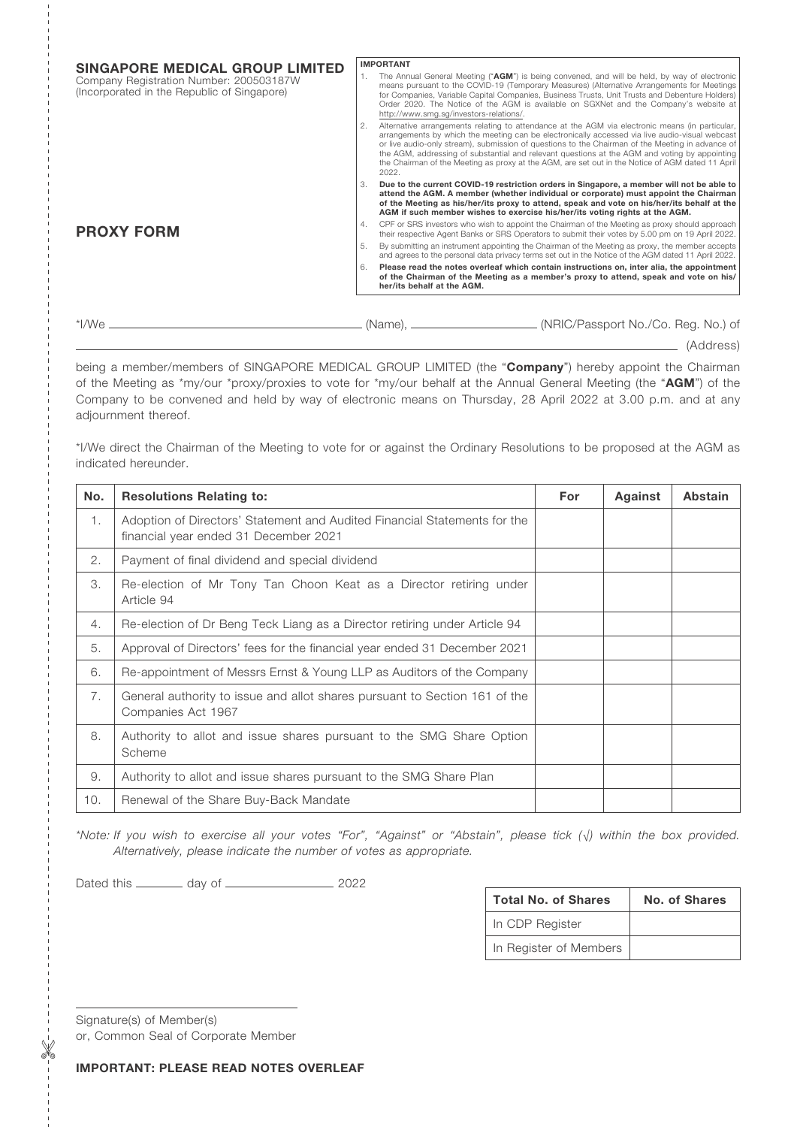| SINGAPORE MEDICAL GROUP LIMITED                                                        |    | <b>IMPORTANT</b>                                                                                                                                                                                                                                                                                                                                                                                                                                                                                                    |  |  |
|----------------------------------------------------------------------------------------|----|---------------------------------------------------------------------------------------------------------------------------------------------------------------------------------------------------------------------------------------------------------------------------------------------------------------------------------------------------------------------------------------------------------------------------------------------------------------------------------------------------------------------|--|--|
| Company Registration Number: 200503187W<br>(Incorporated in the Republic of Singapore) |    | The Annual General Meeting ("AGM") is being convened, and will be held, by way of electronic<br>means pursuant to the COVID-19 (Temporary Measures) (Alternative Arrangements for Meetings<br>for Companies, Variable Capital Companies, Business Trusts, Unit Trusts and Debenture Holders)<br>Order 2020. The Notice of the AGM is available on SGXNet and the Company's website at<br>http://www.sma.sa/investors-relations/.                                                                                    |  |  |
|                                                                                        |    | Alternative arrangements relating to attendance at the AGM via electronic means (in particular,<br>arrangements by which the meeting can be electronically accessed via live audio-visual webcast<br>or live audio-only stream), submission of questions to the Chairman of the Meeting in advance of<br>the AGM, addressing of substantial and relevant questions at the AGM and voting by appointing<br>the Chairman of the Meeting as proxy at the AGM, are set out in the Notice of AGM dated 11 April<br>2022. |  |  |
|                                                                                        |    | Due to the current COVID-19 restriction orders in Singapore, a member will not be able to<br>attend the AGM. A member (whether individual or corporate) must appoint the Chairman<br>of the Meeting as his/her/its proxy to attend, speak and vote on his/her/its behalf at the<br>AGM if such member wishes to exercise his/her/its voting rights at the AGM.                                                                                                                                                      |  |  |
| <b>PROXY FORM</b>                                                                      | 4. | CPF or SRS investors who wish to appoint the Chairman of the Meeting as proxy should approach<br>their respective Agent Banks or SRS Operators to submit their votes by 5.00 pm on 19 April 2022.                                                                                                                                                                                                                                                                                                                   |  |  |
|                                                                                        |    | By submitting an instrument appointing the Chairman of the Meeting as proxy, the member accepts<br>and agrees to the personal data privacy terms set out in the Notice of the AGM dated 11 April 2022.                                                                                                                                                                                                                                                                                                              |  |  |
|                                                                                        | 6  | Please read the notes overleaf which contain instructions on, inter alia, the appointment<br>of the Chairman of the Meeting as a member's proxy to attend, speak and vote on his/<br>her/its behalf at the AGM.                                                                                                                                                                                                                                                                                                     |  |  |
|                                                                                        |    |                                                                                                                                                                                                                                                                                                                                                                                                                                                                                                                     |  |  |
| *I/We                                                                                  |    | ________ (NRIC/Passport No./Co. Reg. No.) of<br>(Name)                                                                                                                                                                                                                                                                                                                                                                                                                                                              |  |  |

**Manuel** (Address)

being a member/members of SINGAPORE MEDICAL GROUP LIMITED (the "Company") hereby appoint the Chairman of the Meeting as \*my/our \*proxy/proxies to vote for \*my/our behalf at the Annual General Meeting (the "AGM") of the Company to be convened and held by way of electronic means on Thursday, 28 April 2022 at 3.00 p.m. and at any adjournment thereof.

\*I/We direct the Chairman of the Meeting to vote for or against the Ordinary Resolutions to be proposed at the AGM as indicated hereunder.

| No. | <b>Resolutions Relating to:</b>                                                                                    | For | Against | <b>Abstain</b> |
|-----|--------------------------------------------------------------------------------------------------------------------|-----|---------|----------------|
| 1.  | Adoption of Directors' Statement and Audited Financial Statements for the<br>financial year ended 31 December 2021 |     |         |                |
| 2.  | Payment of final dividend and special dividend                                                                     |     |         |                |
| 3.  | Re-election of Mr Tony Tan Choon Keat as a Director retiring under<br>Article 94                                   |     |         |                |
| 4.  | Re-election of Dr Beng Teck Liang as a Director retiring under Article 94                                          |     |         |                |
| 5.  | Approval of Directors' fees for the financial year ended 31 December 2021                                          |     |         |                |
| 6.  | Re-appointment of Messrs Ernst & Young LLP as Auditors of the Company                                              |     |         |                |
| 7.  | General authority to issue and allot shares pursuant to Section 161 of the<br>Companies Act 1967                   |     |         |                |
| 8.  | Authority to allot and issue shares pursuant to the SMG Share Option<br>Scheme                                     |     |         |                |
| 9.  | Authority to allot and issue shares pursuant to the SMG Share Plan                                                 |     |         |                |
| 10. | Renewal of the Share Buy-Back Mandate                                                                              |     |         |                |

*\*Note: If you wish to exercise all your votes "For", "Against" or "Abstain", please tick (√) within the box provided. Alternatively, please indicate the number of votes as appropriate.*

Dated this day of 2022

| <b>Total No. of Shares</b> | No. of Shares |  |  |
|----------------------------|---------------|--|--|
| In CDP Register            |               |  |  |
| In Register of Members     |               |  |  |

Signature(s) of Member(s) or, Common Seal of Corporate Member

IMPORTANT: PLEASE READ NOTES OVERLEAF